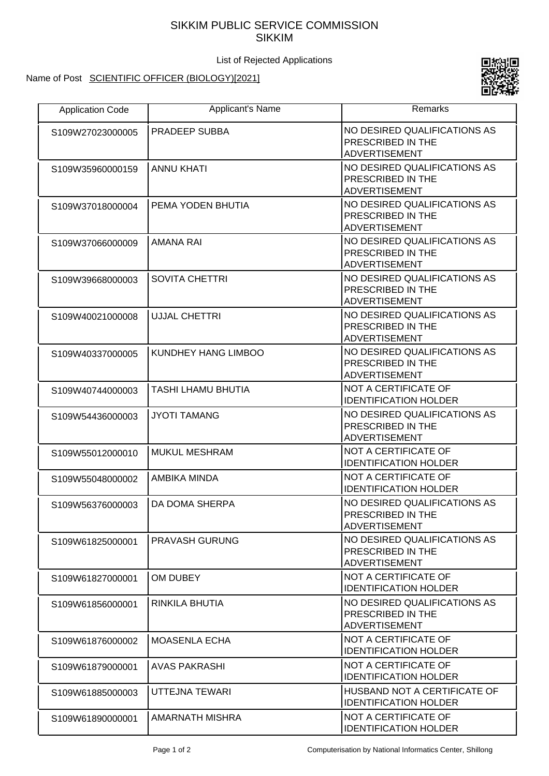## SIKKIM PUBLIC SERVICE COMMISSION SIKKIM

List of Rejected Applications

## Name of Post SCIENTIFIC OFFICER (BIOLOGY)[2021]



| <b>Application Code</b> | <b>Applicant's Name</b>   | <b>Remarks</b>                                                            |
|-------------------------|---------------------------|---------------------------------------------------------------------------|
| S109W27023000005        | PRADEEP SUBBA             | NO DESIRED QUALIFICATIONS AS<br>PRESCRIBED IN THE<br><b>ADVERTISEMENT</b> |
| S109W35960000159        | <b>ANNU KHATI</b>         | NO DESIRED QUALIFICATIONS AS<br>PRESCRIBED IN THE<br><b>ADVERTISEMENT</b> |
| S109W37018000004        | PEMA YODEN BHUTIA         | NO DESIRED QUALIFICATIONS AS<br>PRESCRIBED IN THE<br><b>ADVERTISEMENT</b> |
| S109W37066000009        | <b>AMANA RAI</b>          | NO DESIRED QUALIFICATIONS AS<br>PRESCRIBED IN THE<br><b>ADVERTISEMENT</b> |
| S109W39668000003        | <b>SOVITA CHETTRI</b>     | NO DESIRED QUALIFICATIONS AS<br>PRESCRIBED IN THE<br><b>ADVERTISEMENT</b> |
| S109W40021000008        | <b>UJJAL CHETTRI</b>      | NO DESIRED QUALIFICATIONS AS<br>PRESCRIBED IN THE<br><b>ADVERTISEMENT</b> |
| S109W40337000005        | KUNDHEY HANG LIMBOO       | NO DESIRED QUALIFICATIONS AS<br>PRESCRIBED IN THE<br><b>ADVERTISEMENT</b> |
| S109W40744000003        | <b>TASHI LHAMU BHUTIA</b> | NOT A CERTIFICATE OF<br><b>IDENTIFICATION HOLDER</b>                      |
| S109W54436000003        | <b>JYOTI TAMANG</b>       | NO DESIRED QUALIFICATIONS AS<br>PRESCRIBED IN THE<br><b>ADVERTISEMENT</b> |
| S109W55012000010        | MUKUL MESHRAM             | NOT A CERTIFICATE OF<br><b>IDENTIFICATION HOLDER</b>                      |
| S109W55048000002        | AMBIKA MINDA              | NOT A CERTIFICATE OF<br><b>IDENTIFICATION HOLDER</b>                      |
| S109W56376000003        | DA DOMA SHERPA            | NO DESIRED QUALIFICATIONS AS<br>PRESCRIBED IN THE<br><b>ADVERTISEMENT</b> |
| S109W61825000001        | <b>PRAVASH GURUNG</b>     | NO DESIRED QUALIFICATIONS AS<br>PRESCRIBED IN THE<br><b>ADVERTISEMENT</b> |
| S109W61827000001        | OM DUBEY                  | <b>NOT A CERTIFICATE OF</b><br><b>IDENTIFICATION HOLDER</b>               |
| S109W61856000001        | RINKILA BHUTIA            | NO DESIRED QUALIFICATIONS AS<br>PRESCRIBED IN THE<br><b>ADVERTISEMENT</b> |
| S109W61876000002        | <b>MOASENLA ECHA</b>      | NOT A CERTIFICATE OF<br><b>IDENTIFICATION HOLDER</b>                      |
| S109W61879000001        | <b>AVAS PAKRASHI</b>      | <b>NOT A CERTIFICATE OF</b><br><b>IDENTIFICATION HOLDER</b>               |
| S109W61885000003        | UTTEJNA TEWARI            | HUSBAND NOT A CERTIFICATE OF<br><b>IDENTIFICATION HOLDER</b>              |
| S109W61890000001        | AMARNATH MISHRA           | <b>NOT A CERTIFICATE OF</b><br><b>IDENTIFICATION HOLDER</b>               |